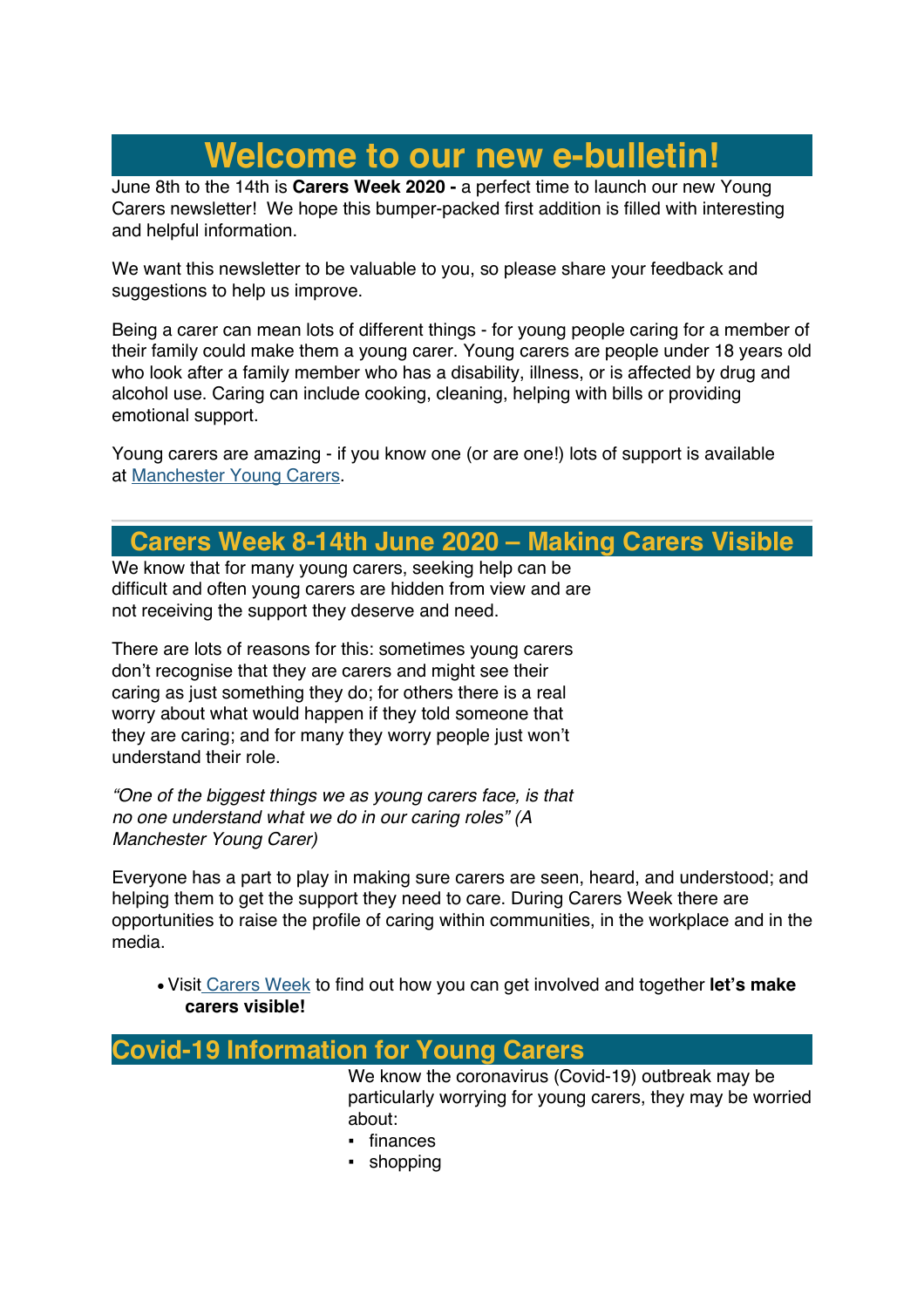# **Welcome to our new e-bulletin!**

June 8th to the 14th is **Carers Week 2020 -** a perfect time to launch our new Young Carers newsletter! We hope this bumper-packed first addition is filled with interesting and helpful information.

We want this newsletter to be valuable to you, so please share your feedback and suggestions to help us improve.

Being a carer can mean lots of different things - for young people caring for a member of their family could make them a young carer. Young carers are people under 18 years old who look after a family member who has a disability, illness, or is affected by drug and alcohol use. Caring can include cooking, cleaning, helping with bills or providing emotional support.

Young carers are amazing - if you know one (or are one!) lots of support is available at Manchester Young Carers.

## **Carers Week 8-14th June 2020 – Making Carers Visible**

We know that for many young carers, seeking help can be difficult and often young carers are hidden from view and are not receiving the support they deserve and need.

There are lots of reasons for this: sometimes young carers don't recognise that they are carers and might see their caring as just something they do; for others there is a real worry about what would happen if they told someone that they are caring; and for many they worry people just won't understand their role.

*"One of the biggest things we as young carers face, is that no one understand what we do in our caring roles" (A Manchester Young Carer)*

Everyone has a part to play in making sure carers are seen, heard, and understood; and helping them to get the support they need to care. During Carers Week there are opportunities to raise the profile of caring within communities, in the workplace and in the media.

• Visit Carers Week to find out how you can get involved and together **let's make carers visible!**

## **Covid-19 Information for Young Carers**

We know the coronavirus (Covid-19) outbreak may be particularly worrying for young carers, they may be worried about:

- finances
- shopping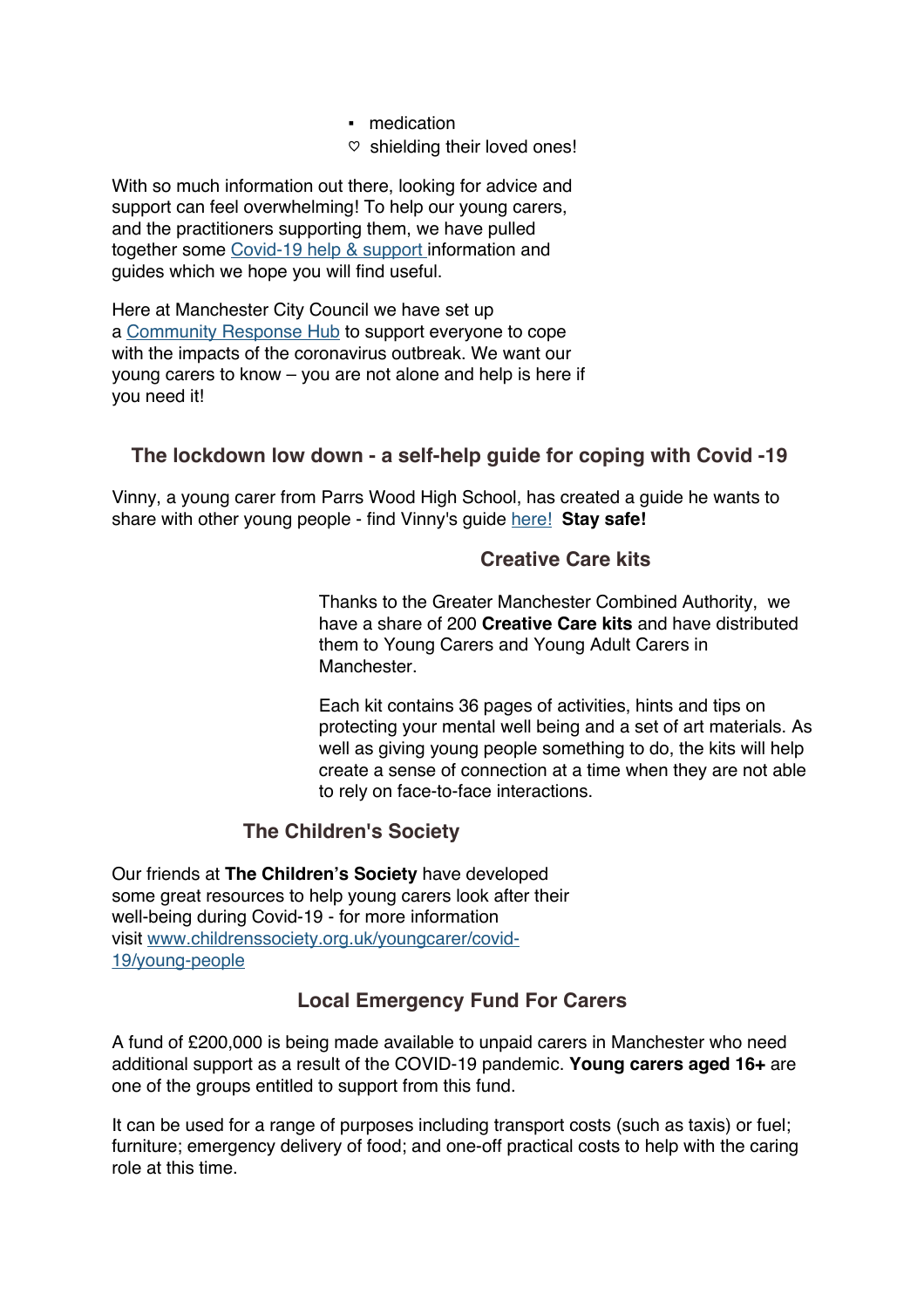- medication
- $\heartsuit$  shielding their loved ones!

With so much information out there, looking for advice and support can feel overwhelming! To help our young carers, and the practitioners supporting them, we have pulled together some Covid-19 help & support information and guides which we hope you will find useful.

Here at Manchester City Council we have set up a Community Response Hub to support everyone to cope with the impacts of the coronavirus outbreak. We want our young carers to know – you are not alone and help is here if you need it!

#### **The lockdown low down - a self-help guide for coping with Covid -19**

Vinny, a young carer from Parrs Wood High School, has created a guide he wants to share with other young people - find Vinny's guide here! **Stay safe!**

#### **Creative Care kits**

Thanks to the Greater Manchester Combined Authority, we have a share of 200 **Creative Care kits** and have distributed them to Young Carers and Young Adult Carers in Manchester.

Each kit contains 36 pages of activities, hints and tips on protecting your mental well being and a set of art materials. As well as giving young people something to do, the kits will help create a sense of connection at a time when they are not able to rely on face-to-face interactions.

### **The Children's Society**

Our friends at **The Children's Society** have developed some great resources to help young carers look after their well-being during Covid-19 - for more information visit www.childrenssociety.org.uk/youngcarer/covid-19/young-people

### **Local Emergency Fund For Carers**

A fund of £200,000 is being made available to unpaid carers in Manchester who need additional support as a result of the COVID-19 pandemic. **Young carers aged 16+** are one of the groups entitled to support from this fund.

It can be used for a range of purposes including transport costs (such as taxis) or fuel; furniture; emergency delivery of food; and one-off practical costs to help with the caring role at this time.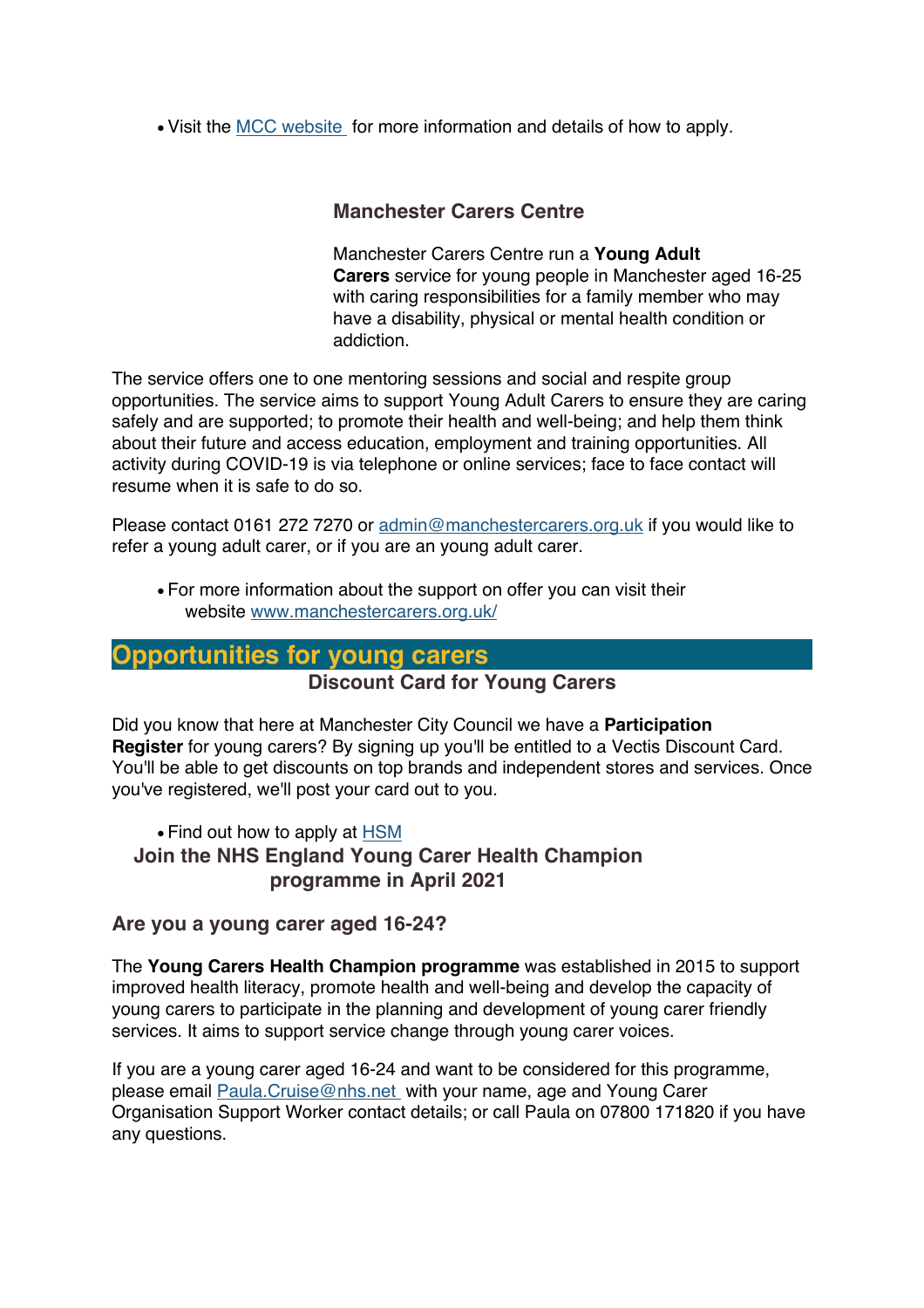• Visit the MCC website for more information and details of how to apply.

#### **Manchester Carers Centre**

Manchester Carers Centre run a **Young Adult Carers** service for young people in Manchester aged 16-25 with caring responsibilities for a family member who may have a disability, physical or mental health condition or addiction.

The service offers one to one mentoring sessions and social and respite group opportunities. The service aims to support Young Adult Carers to ensure they are caring safely and are supported; to promote their health and well-being; and help them think about their future and access education, employment and training opportunities. All activity during COVID-19 is via telephone or online services; face to face contact will resume when it is safe to do so.

Please contact 0161 272 7270 or admin@manchestercarers.org.uk if you would like to refer a young adult carer, or if you are an young adult carer.

• For more information about the support on offer you can visit their website www.manchestercarers.org.uk/

## **Opportunities for young carers**

#### **Discount Card for Young Carers**

Did you know that here at Manchester City Council we have a **Participation Register** for young carers? By signing up you'll be entitled to a Vectis Discount Card. You'll be able to get discounts on top brands and independent stores and services. Once you've registered, we'll post your card out to you.

• Find out how to apply at HSM **Join the NHS England Young Carer Health Champion programme in April 2021**

#### **Are you a young carer aged 16-24?**

The **Young Carers Health Champion programme** was established in 2015 to support improved health literacy, promote health and well-being and develop the capacity of young carers to participate in the planning and development of young carer friendly services. It aims to support service change through young carer voices.

If you are a young carer aged 16-24 and want to be considered for this programme, please email Paula.Cruise@nhs.net with your name, age and Young Carer Organisation Support Worker contact details; or call Paula on 07800 171820 if you have any questions.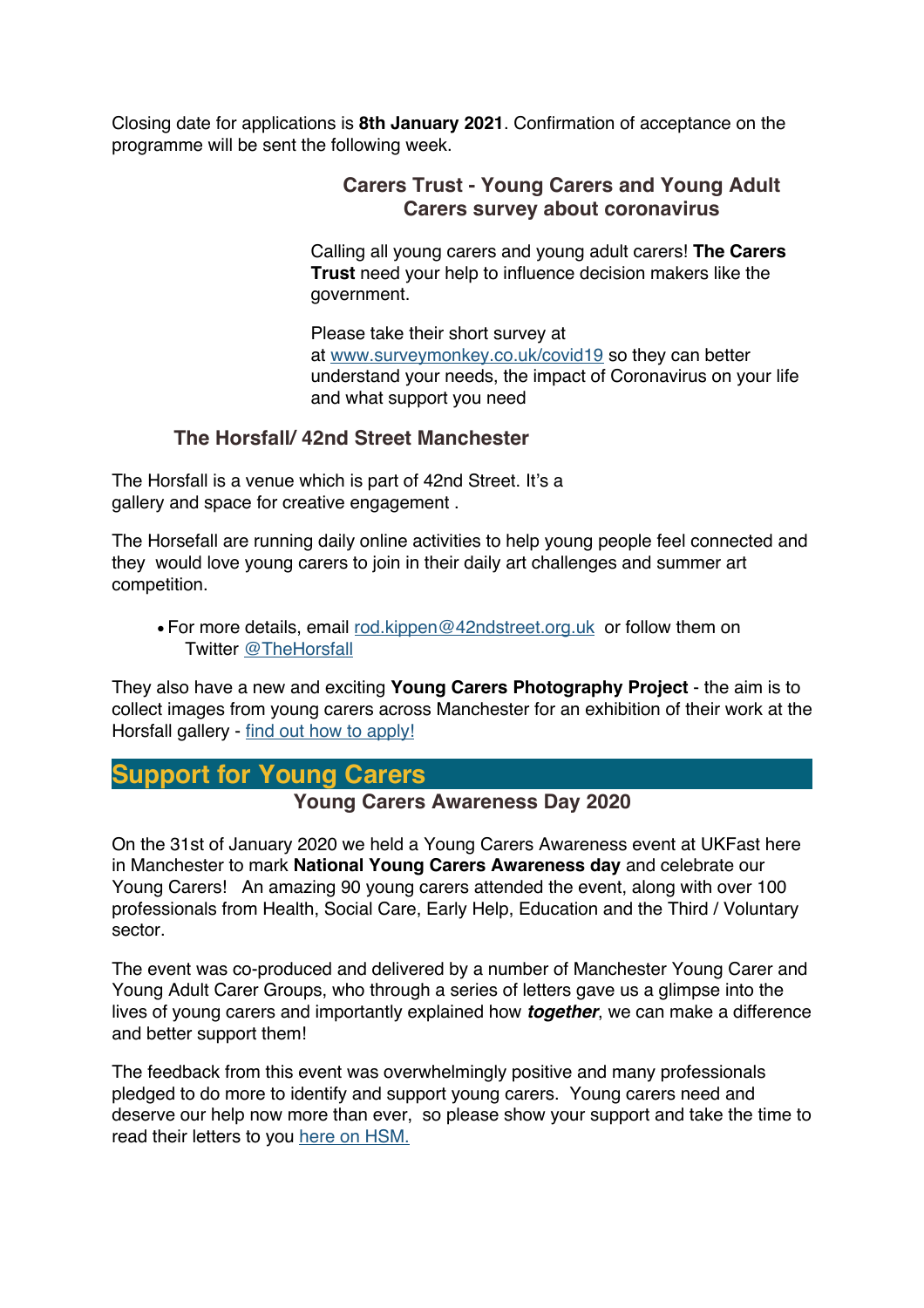Closing date for applications is **8th January 2021**. Confirmation of acceptance on the programme will be sent the following week.

#### **Carers Trust - Young Carers and Young Adult Carers survey about coronavirus**

Calling all young carers and young adult carers! **The Carers Trust** need your help to influence decision makers like the government.

Please take their short survey at at www.surveymonkey.co.uk/covid19 so they can better understand your needs, the impact of Coronavirus on your life and what support you need

#### **The Horsfall/ 42nd Street Manchester**

The Horsfall is a venue which is part of 42nd Street. It's a gallery and space for creative engagement .

The Horsefall are running daily online activities to help young people feel connected and they would love young carers to join in their daily art challenges and summer art competition.

• For more details, email rod.kippen@42ndstreet.org.uk or follow them on Twitter @TheHorsfall

They also have a new and exciting **Young Carers Photography Project** - the aim is to collect images from young carers across Manchester for an exhibition of their work at the Horsfall gallery - find out how to apply!

## **Support for Young Carers**

#### **Young Carers Awareness Day 2020**

On the 31st of January 2020 we held a Young Carers Awareness event at UKFast here in Manchester to mark **National Young Carers Awareness day** and celebrate our Young Carers! An amazing 90 young carers attended the event, along with over 100 professionals from Health, Social Care, Early Help, Education and the Third / Voluntary sector.

The event was co-produced and delivered by a number of Manchester Young Carer and Young Adult Carer Groups, who through a series of letters gave us a glimpse into the lives of young carers and importantly explained how *together*, we can make a difference and better support them!

The feedback from this event was overwhelmingly positive and many professionals pledged to do more to identify and support young carers. Young carers need and deserve our help now more than ever, so please show your support and take the time to read their letters to you here on HSM.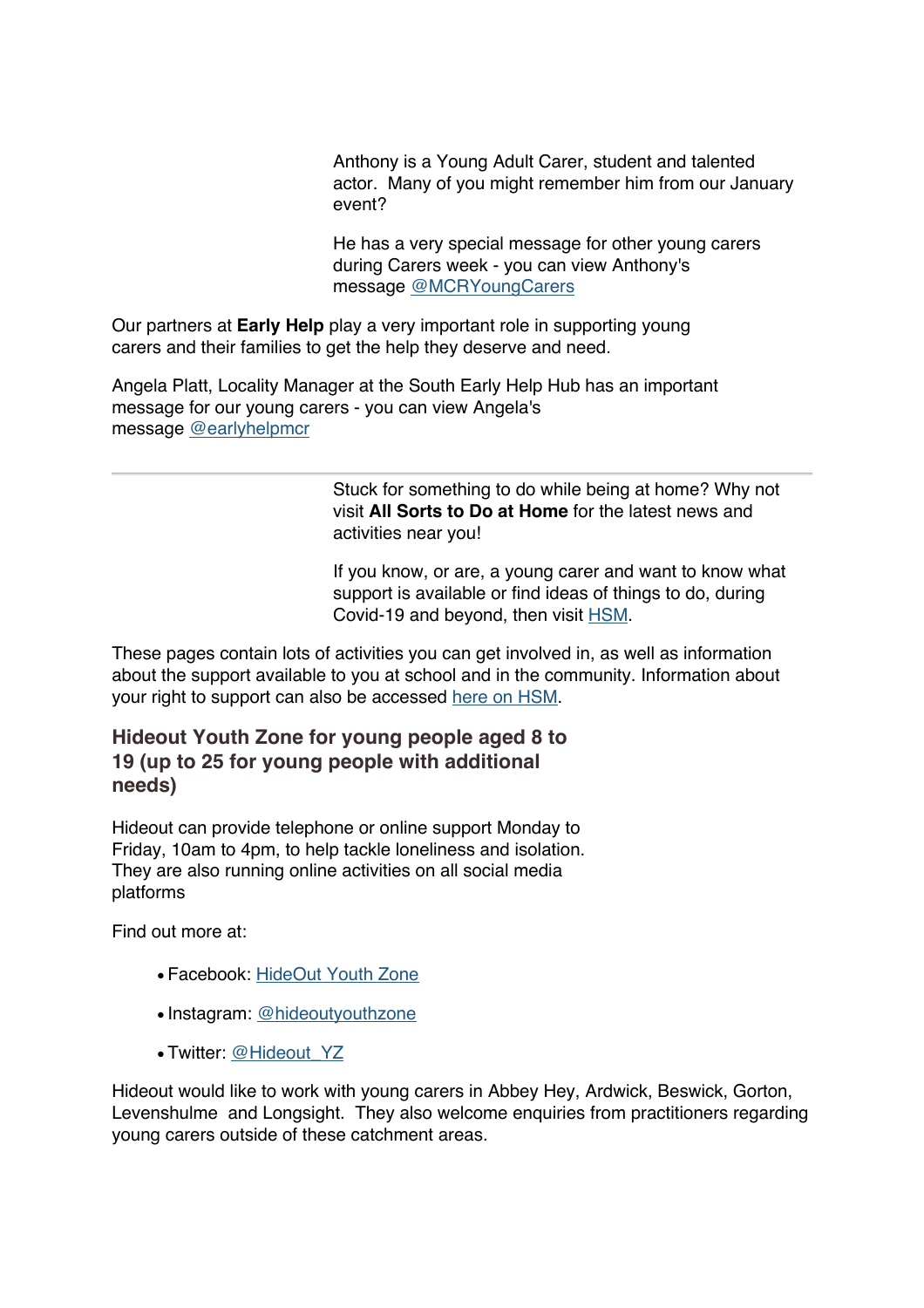Anthony is a Young Adult Carer, student and talented actor. Many of you might remember him from our January event?

He has a very special message for other young carers during Carers week - you can view Anthony's message @MCRYoungCarers

Our partners at **Early Help** play a very important role in supporting young carers and their families to get the help they deserve and need.

Angela Platt, Locality Manager at the South Early Help Hub has an important message for our young carers - you can view Angela's message @earlyhelpmcr

> Stuck for something to do while being at home? Why not visit **All Sorts to Do at Home** for the latest news and activities near you!

If you know, or are, a young carer and want to know what support is available or find ideas of things to do, during Covid-19 and beyond, then visit HSM.

These pages contain lots of activities you can get involved in, as well as information about the support available to you at school and in the community. Information about your right to support can also be accessed here on HSM.

#### **Hideout Youth Zone for young people aged 8 to 19 (up to 25 for young people with additional needs)**

Hideout can provide telephone or online support Monday to Friday, 10am to 4pm, to help tackle loneliness and isolation. They are also running online activities on all social media platforms

Find out more at:

- Facebook: HideOut Youth Zone
- Instagram: @hideoutyouthzone
- Twitter: @Hideout\_YZ

Hideout would like to work with young carers in Abbey Hey, Ardwick, Beswick, Gorton, Levenshulme and Longsight. They also welcome enquiries from practitioners regarding young carers outside of these catchment areas.